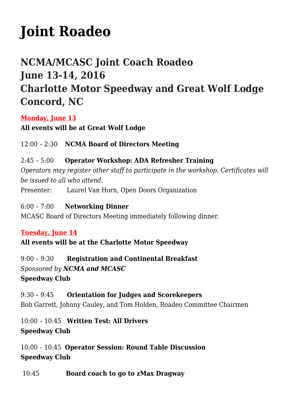# **[Joint Roadeo](http://www.ncmotorcoach.org/joint-roadeo/)**

# **NCMA/MCASC Joint Coach Roadeo June 13-14, 2016 Charlotte Motor Speedway and Great Wolf Lodge Concord, NC**

**Monday, June 13**

**All events will be at Great Wolf Lodge**

12:00 – 2:30 **NCMA Board of Directors Meeting**

2:45 – 5:00 **Operator Workshop: ADA Refresher Training** *Operators may register other staff to participate in the workshop. Certificates will be issued to all who attend.*

Presenter: Laurel Van Horn, Open Doors Organization

6:00 – 7:00 **Networking Dinner** MCASC Board of Directors Meeting immediately following dinner.

#### **Tuesday, June 14**

**All events will be at the Charlotte Motor Speedway**

9:00 – 9:30 **Registration and Continental Breakfast** *Sponsored by NCMA and MCASC* **Speedway Club**

9:30 – 9:45 **Orientation for Judges and Scorekeepers** Bob Garrett, Johnny Cauley, and Tom Holden, Roadeo Committee Chairmen

10:00 – 10:45 **Written Test: All Drivers Speedway Club**

10:00 – 10:45 **Operator Session: Round Table Discussion Speedway Club**

10:45**Board coach to go to zMax Dragway**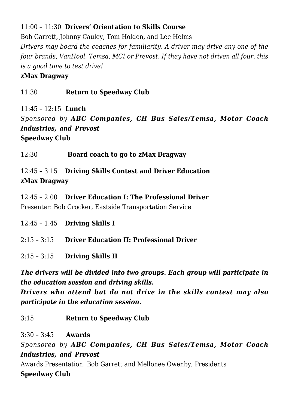### 11:00 – 11:30 **Drivers' Orientation to Skills Course**

Bob Garrett, Johnny Cauley, Tom Holden, and Lee Helms *Drivers may board the coaches for familiarity. A driver may drive any one of the four brands, VanHool, Temsa, MCI or Prevost. If they have not driven all four, this is a good time to test drive!*

#### **zMax Dragway**

#### 11:30 **Return to Speedway Club**

11:45 – 12:15**Lunch**

*Sponsored by ABC Companies, CH Bus Sales/Temsa, Motor Coach Industries, and Prevost* **Speedway Club**

12:30 **Board coach to go to zMax Dragway**

12:45 – 3:15**Driving Skills Contest and Driver Education zMax Dragway**

12:45 – 2:00 **Driver Education I: The Professional Driver** Presenter: Bob Crocker, Eastside Transportation Service

- 12:45 1:45 **Driving Skills I**
- 2:15 3:15 **Driver Education II: Professional Driver**
- 2:15 3:15 **Driving Skills II**

*The drivers will be divided into two groups. Each group will participate in the education session and driving skills.*

*Drivers who attend but do not drive in the skills contest may also participate in the education session.*

3:15 **Return to Speedway Club** 

3:30 – 3:45 **Awards**

*Sponsored by ABC Companies, CH Bus Sales/Temsa, Motor Coach Industries, and Prevost*

Awards Presentation: Bob Garrett and Mellonee Owenby, Presidents **Speedway Club**